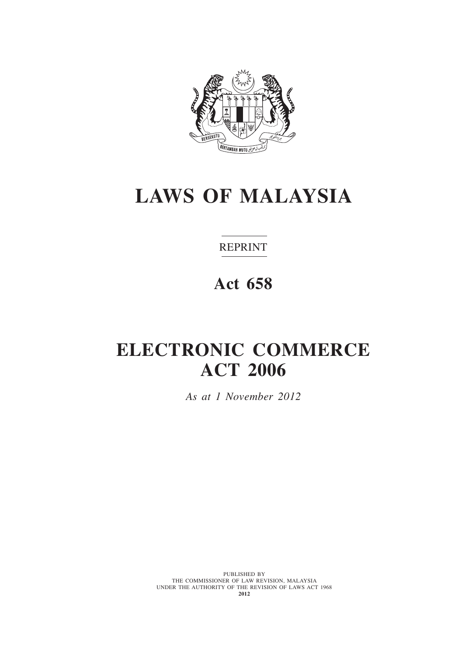

# **LAWS OF MALAYSIA**

REPRINT

# **Act 658**

# **electronic commerce act 2006**

*As at 1 November 2012*

PUBLISHED BY THE COMMISSIONER OF LAW REVISION, MALAYSIA UNDER THE AUTHORITY OF THE REVISION OF LAWS ACT 1968 **2012**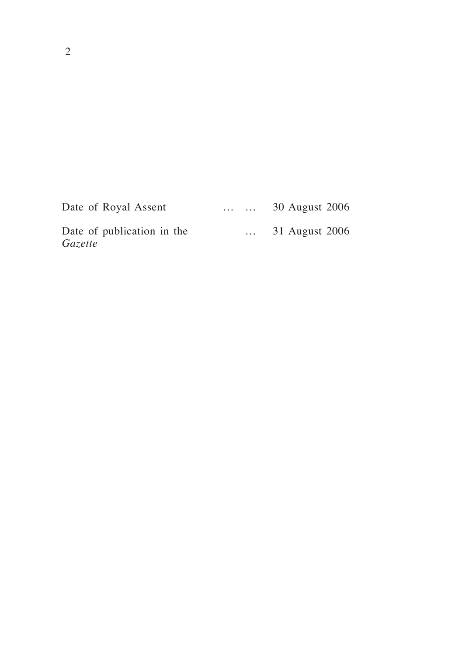| Date of Royal Assent                  | $\cdots$ $\cdots$ | 30 August 2006   |
|---------------------------------------|-------------------|------------------|
| Date of publication in the<br>Gazette |                   | $31$ August 2006 |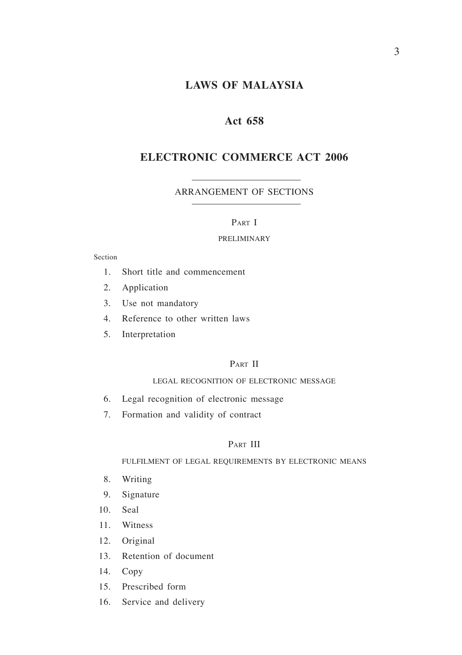# **LAWS OF MALAYSIA**

## **Act 658**

# **electronic commerce act 2006**

#### ARRANGEMENT OF SECTIONS

## PART I

#### PRELIMINARY

#### Section

- 1. Short title and commencement
- 2. Application
- 3. Use not mandatory
- 4. Reference to other written laws
- 5. Interpretation

## PART II

#### LEGAL RECOGNITION OF ELECTRONIC MESSAGE

- 6. Legal recognition of electronic message
- 7. Formation and validity of contract

#### PART III

#### FULFILMENT OF LEGAL REQUIREMENTS BY ELECTRONIC MEANS

- 8. Writing
- 9. Signature
- 10. Seal
- 11. Witness
- 12. Original
- 13. Retention of document
- 14. Copy
- 15. Prescribed form
- 16. Service and delivery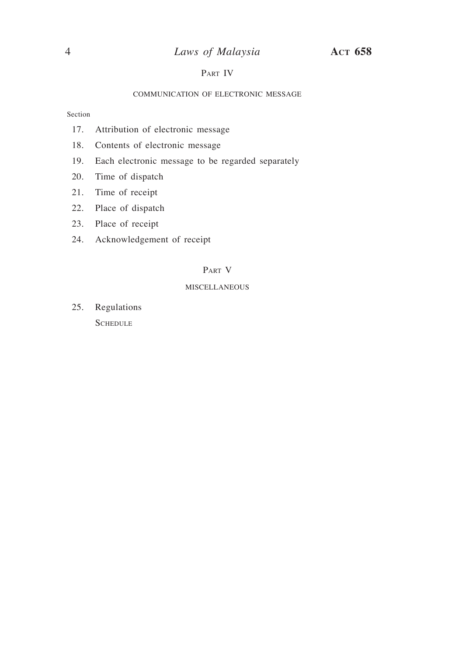# 4 *Laws of Malaysia* **Act 658**

### PART IV

#### COMMUNICATION OF ELECTRONIC MESSAGE

Section

- 17. Attribution of electronic message
- 18. Contents of electronic message
- 19. Each electronic message to be regarded separately
- 20. Time of dispatch
- 21. Time of receipt
- 22. Place of dispatch
- 23. Place of receipt
- 24. Acknowledgement of receipt

### Part V

#### **MISCELLANEOUS**

25. Regulations **SCHEDULE**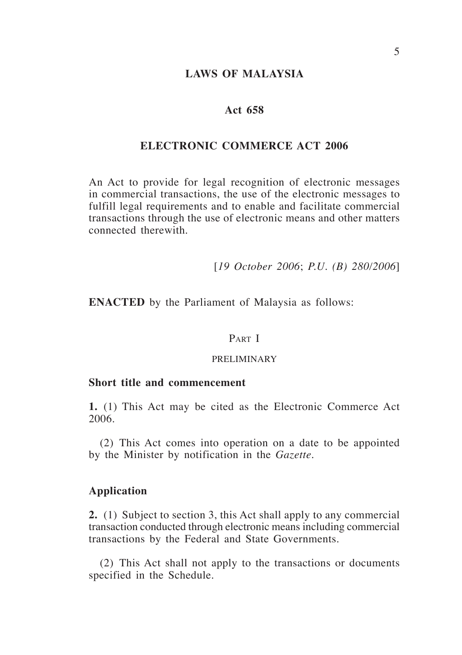## **LAWS OF MALAYSIA**

## **Act 658**

# **electronic commerce act 2006**

An Act to provide for legal recognition of electronic messages in commercial transactions, the use of the electronic messages to fulfill legal requirements and to enable and facilitate commercial transactions through the use of electronic means and other matters connected therewith.

[*19 October 2006*; *P.U. (B) 280/2006*]

**ENACTED** by the Parliament of Malaysia as follows:

#### PART I

#### PRELIMINARY

#### **Short title and commencement**

**1.** (1) This Act may be cited as the Electronic Commerce Act 2006.

(2) This Act comes into operation on a date to be appointed by the Minister by notification in the *Gazette*.

## **Application**

**2.** (1) Subject to section 3, this Act shall apply to any commercial transaction conducted through electronic means including commercial transactions by the Federal and State Governments.

(2) This Act shall not apply to the transactions or documents specified in the Schedule.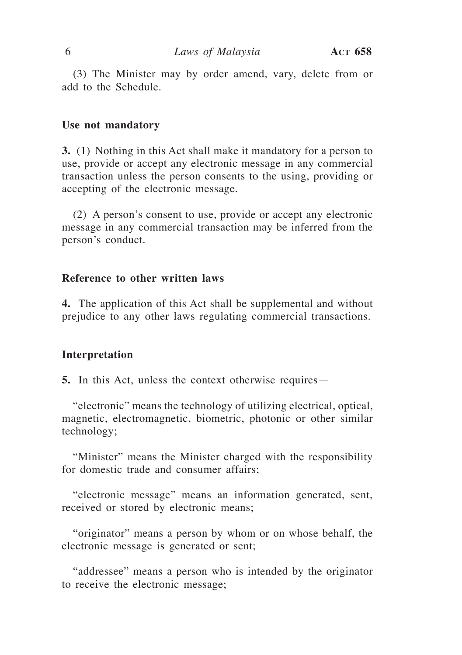(3) The Minister may by order amend, vary, delete from or add to the Schedule.

#### **Use not mandatory**

**3.** (1) Nothing in this Act shall make it mandatory for a person to use, provide or accept any electronic message in any commercial transaction unless the person consents to the using, providing or accepting of the electronic message.

(2) A person's consent to use, provide or accept any electronic message in any commercial transaction may be inferred from the person's conduct.

## **Reference to other written laws**

**4.** The application of this Act shall be supplemental and without prejudice to any other laws regulating commercial transactions.

#### **Interpretation**

**5.** In this Act, unless the context otherwise requires—

"electronic" means the technology of utilizing electrical, optical, magnetic, electromagnetic, biometric, photonic or other similar technology;

"Minister" means the Minister charged with the responsibility for domestic trade and consumer affairs;

"electronic message" means an information generated, sent, received or stored by electronic means;

"originator" means a person by whom or on whose behalf, the electronic message is generated or sent;

"addressee" means a person who is intended by the originator to receive the electronic message;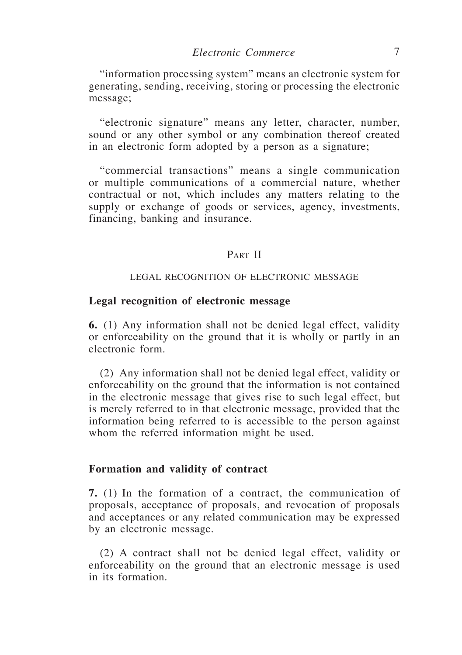"information processing system" means an electronic system for generating, sending, receiving, storing or processing the electronic message;

"electronic signature" means any letter, character, number, sound or any other symbol or any combination thereof created in an electronic form adopted by a person as a signature;

"commercial transactions" means a single communication or multiple communications of a commercial nature, whether contractual or not, which includes any matters relating to the supply or exchange of goods or services, agency, investments, financing, banking and insurance.

## PART II

## LEGAL RECOGNITION OF ELECTRONIC MESSAGE

### **Legal recognition of electronic message**

**6.** (1) Any information shall not be denied legal effect, validity or enforceability on the ground that it is wholly or partly in an electronic form.

(2) Any information shall not be denied legal effect, validity or enforceability on the ground that the information is not contained in the electronic message that gives rise to such legal effect, but is merely referred to in that electronic message, provided that the information being referred to is accessible to the person against whom the referred information might be used.

#### **Formation and validity of contract**

**7.** (1) In the formation of a contract, the communication of proposals, acceptance of proposals, and revocation of proposals and acceptances or any related communication may be expressed by an electronic message.

(2) A contract shall not be denied legal effect, validity or enforceability on the ground that an electronic message is used in its formation.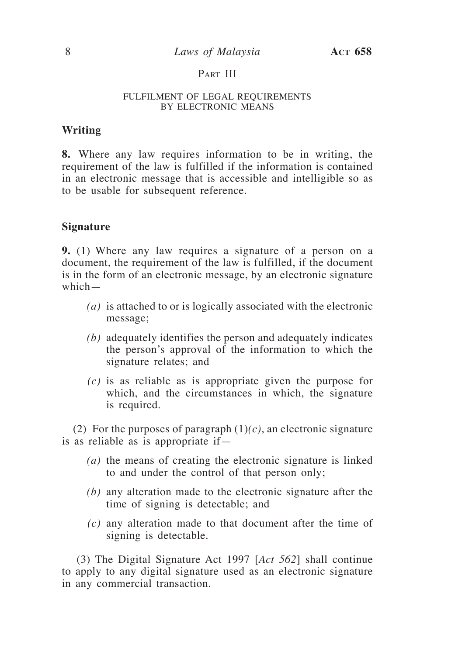# PART III

#### FULFILMENT OF LEGAL REQUIREMENTS BY ELECTRONIC MEANS

## **Writing**

**8.** Where any law requires information to be in writing, the requirement of the law is fulfilled if the information is contained in an electronic message that is accessible and intelligible so as to be usable for subsequent reference.

#### **Signature**

**9.** (1) Where any law requires a signature of a person on a document, the requirement of the law is fulfilled, if the document is in the form of an electronic message, by an electronic signature which—

- *(a)* is attached to or is logically associated with the electronic message;
- *(b)* adequately identifies the person and adequately indicates the person's approval of the information to which the signature relates; and
- *(c)* is as reliable as is appropriate given the purpose for which, and the circumstances in which, the signature is required.

(2) For the purposes of paragraph  $(1)(c)$ , an electronic signature is as reliable as is appropriate if—

- *(a)* the means of creating the electronic signature is linked to and under the control of that person only;
- *(b)* any alteration made to the electronic signature after the time of signing is detectable; and
- *(c)* any alteration made to that document after the time of signing is detectable.

(3) The Digital Signature Act 1997 [*Act 562*] shall continue to apply to any digital signature used as an electronic signature in any commercial transaction.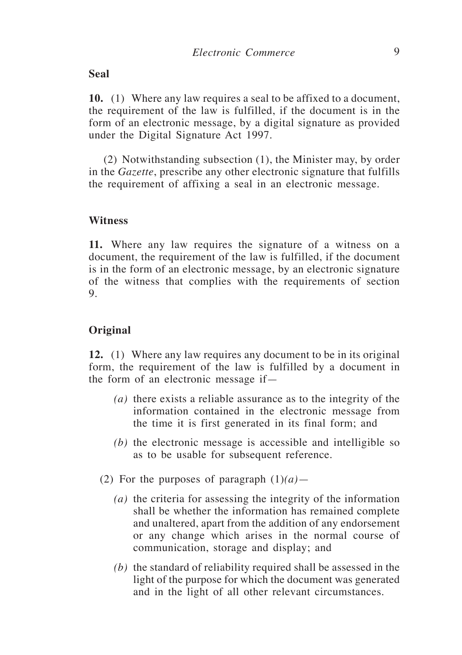## **Seal**

**10.** (1) Where any law requires a seal to be affixed to a document, the requirement of the law is fulfilled, if the document is in the form of an electronic message, by a digital signature as provided under the Digital Signature Act 1997.

(2) Notwithstanding subsection (1), the Minister may, by order in the *Gazette*, prescribe any other electronic signature that fulfills the requirement of affixing a seal in an electronic message.

## **Witness**

**11.** Where any law requires the signature of a witness on a document, the requirement of the law is fulfilled, if the document is in the form of an electronic message, by an electronic signature of the witness that complies with the requirements of section 9.

## **Original**

**12.** (1) Where any law requires any document to be in its original form, the requirement of the law is fulfilled by a document in the form of an electronic message if—

- *(a)* there exists a reliable assurance as to the integrity of the information contained in the electronic message from the time it is first generated in its final form; and
- *(b)* the electronic message is accessible and intelligible so as to be usable for subsequent reference.
- (2) For the purposes of paragraph  $(1)(a)$ 
	- *(a)* the criteria for assessing the integrity of the information shall be whether the information has remained complete and unaltered, apart from the addition of any endorsement or any change which arises in the normal course of communication, storage and display; and
	- *(b)* the standard of reliability required shall be assessed in the light of the purpose for which the document was generated and in the light of all other relevant circumstances.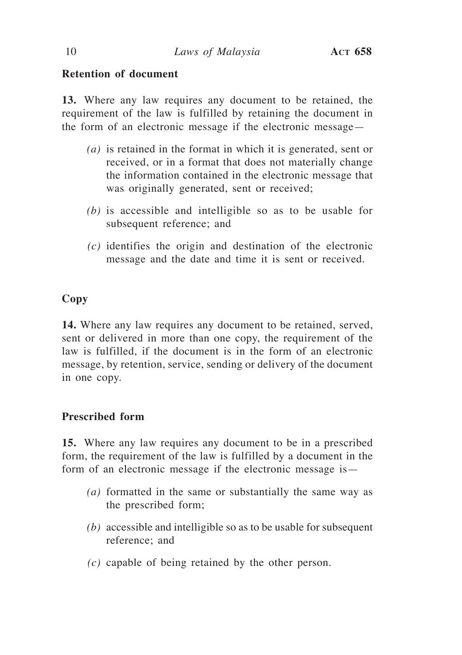# **Retention of document**

**13.** Where any law requires any document to be retained, the requirement of the law is fulfilled by retaining the document in the form of an electronic message if the electronic message—

- *(a)* is retained in the format in which it is generated, sent or received, or in a format that does not materially change the information contained in the electronic message that was originally generated, sent or received;
- *(b)* is accessible and intelligible so as to be usable for subsequent reference; and
- *(c)* identifies the origin and destination of the electronic message and the date and time it is sent or received.

# **Copy**

**14.** Where any law requires any document to be retained, served, sent or delivered in more than one copy, the requirement of the law is fulfilled, if the document is in the form of an electronic message, by retention, service, sending or delivery of the document in one copy.

# **Prescribed form**

**15.** Where any law requires any document to be in a prescribed form, the requirement of the law is fulfilled by a document in the form of an electronic message if the electronic message is—

- *(a)* formatted in the same or substantially the same way as the prescribed form;
- *(b)* accessible and intelligible so as to be usable for subsequent reference; and
- *(c)* capable of being retained by the other person.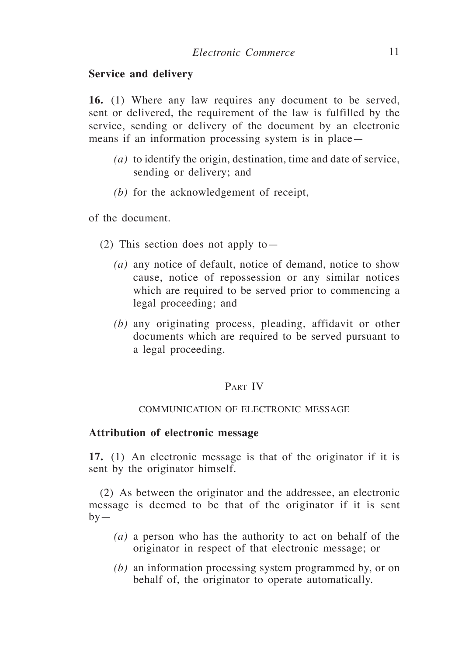## **Service and delivery**

**16.** (1) Where any law requires any document to be served, sent or delivered, the requirement of the law is fulfilled by the service, sending or delivery of the document by an electronic means if an information processing system is in place—

- *(a)* to identify the origin, destination, time and date of service, sending or delivery; and
- *(b)* for the acknowledgement of receipt,

of the document.

- (2) This section does not apply to—
	- *(a)* any notice of default, notice of demand, notice to show cause, notice of repossession or any similar notices which are required to be served prior to commencing a legal proceeding; and
	- *(b)* any originating process, pleading, affidavit or other documents which are required to be served pursuant to a legal proceeding.

## PART IV

#### COMMUNICATION OF ELECTRONIC MESSAGE

### **Attribution of electronic message**

**17.** (1) An electronic message is that of the originator if it is sent by the originator himself.

(2) As between the originator and the addressee, an electronic message is deemed to be that of the originator if it is sent  $by-$ 

- *(a)* a person who has the authority to act on behalf of the originator in respect of that electronic message; or
- *(b)* an information processing system programmed by, or on behalf of, the originator to operate automatically.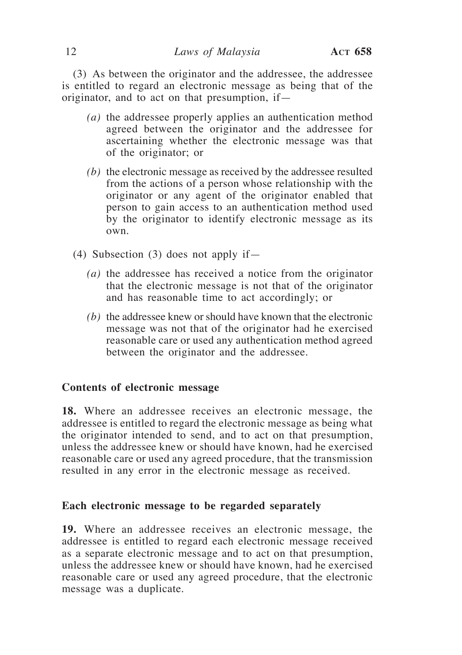(3) As between the originator and the addressee, the addressee is entitled to regard an electronic message as being that of the originator, and to act on that presumption, if—

- *(a)* the addressee properly applies an authentication method agreed between the originator and the addressee for ascertaining whether the electronic message was that of the originator; or
- *(b)* the electronic message as received by the addressee resulted from the actions of a person whose relationship with the originator or any agent of the originator enabled that person to gain access to an authentication method used by the originator to identify electronic message as its own.
- (4) Subsection (3) does not apply if  $-$ 
	- *(a)* the addressee has received a notice from the originator that the electronic message is not that of the originator and has reasonable time to act accordingly; or
	- *(b)* the addressee knew or should have known that the electronic message was not that of the originator had he exercised reasonable care or used any authentication method agreed between the originator and the addressee.

## **Contents of electronic message**

**18.** Where an addressee receives an electronic message, the addressee is entitled to regard the electronic message as being what the originator intended to send, and to act on that presumption, unless the addressee knew or should have known, had he exercised reasonable care or used any agreed procedure, that the transmission resulted in any error in the electronic message as received.

## **Each electronic message to be regarded separately**

**19.** Where an addressee receives an electronic message, the addressee is entitled to regard each electronic message received as a separate electronic message and to act on that presumption, unless the addressee knew or should have known, had he exercised reasonable care or used any agreed procedure, that the electronic message was a duplicate.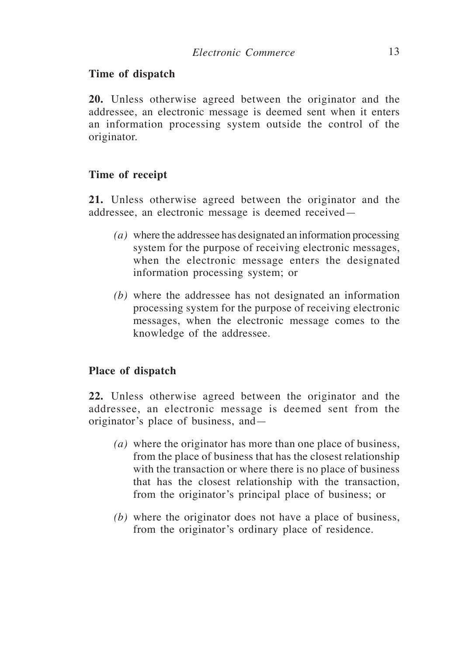## **Time of dispatch**

**20.** Unless otherwise agreed between the originator and the addressee, an electronic message is deemed sent when it enters an information processing system outside the control of the originator.

## **Time of receipt**

**21.** Unless otherwise agreed between the originator and the addressee, an electronic message is deemed received—

- *(a)* where the addressee has designated an information processing system for the purpose of receiving electronic messages, when the electronic message enters the designated information processing system; or
- *(b)* where the addressee has not designated an information processing system for the purpose of receiving electronic messages, when the electronic message comes to the knowledge of the addressee.

# **Place of dispatch**

**22.** Unless otherwise agreed between the originator and the addressee, an electronic message is deemed sent from the originator's place of business, and—

- *(a)* where the originator has more than one place of business, from the place of business that has the closest relationship with the transaction or where there is no place of business that has the closest relationship with the transaction, from the originator's principal place of business; or
- *(b)* where the originator does not have a place of business, from the originator's ordinary place of residence.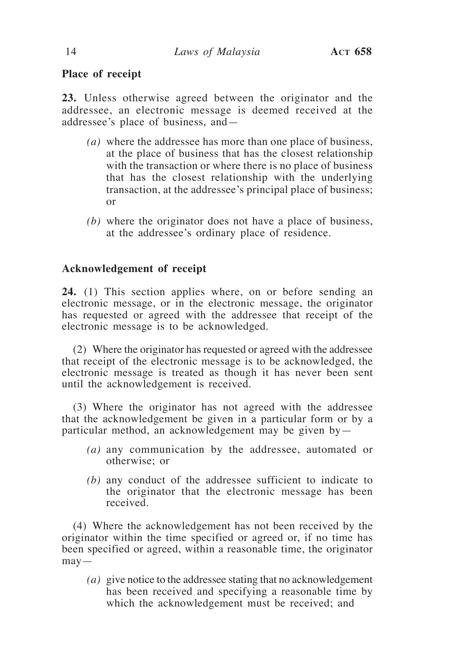# **Place of receipt**

**23.** Unless otherwise agreed between the originator and the addressee, an electronic message is deemed received at the addressee's place of business, and—

- *(a)* where the addressee has more than one place of business, at the place of business that has the closest relationship with the transaction or where there is no place of business that has the closest relationship with the underlying transaction, at the addressee's principal place of business; or
- *(b)* where the originator does not have a place of business, at the addressee's ordinary place of residence.

# **Acknowledgement of receipt**

**24.** (1) This section applies where, on or before sending an electronic message, or in the electronic message, the originator has requested or agreed with the addressee that receipt of the electronic message is to be acknowledged.

(2) Where the originator has requested or agreed with the addressee that receipt of the electronic message is to be acknowledged, the electronic message is treated as though it has never been sent until the acknowledgement is received.

(3) Where the originator has not agreed with the addressee that the acknowledgement be given in a particular form or by a particular method, an acknowledgement may be given by—

- *(a)* any communication by the addressee, automated or otherwise; or
- *(b)* any conduct of the addressee sufficient to indicate to the originator that the electronic message has been received.

(4) Where the acknowledgement has not been received by the originator within the time specified or agreed or, if no time has been specified or agreed, within a reasonable time, the originator  $may -$ 

*(a)* give notice to the addressee stating that no acknowledgement has been received and specifying a reasonable time by which the acknowledgement must be received; and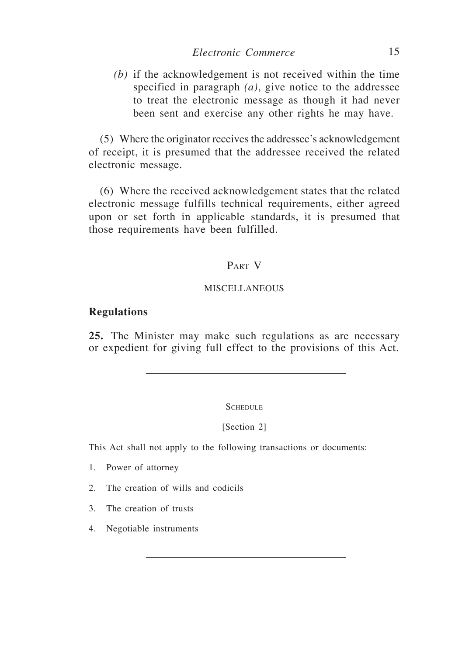*(b)* if the acknowledgement is not received within the time specified in paragraph *(a)*, give notice to the addressee to treat the electronic message as though it had never been sent and exercise any other rights he may have.

(5) Where the originator receives the addressee's acknowledgement of receipt, it is presumed that the addressee received the related electronic message.

(6) Where the received acknowledgement states that the related electronic message fulfills technical requirements, either agreed upon or set forth in applicable standards, it is presumed that those requirements have been fulfilled.

# PART V

#### **MISCELLANEOUS**

### **Regulations**

**25.** The Minister may make such regulations as are necessary or expedient for giving full effect to the provisions of this Act.

**SCHEDULE** 

[Section 2]

This Act shall not apply to the following transactions or documents:

- 1. Power of attorney
- 2. The creation of wills and codicils
- 3. The creation of trusts
- 4. Negotiable instruments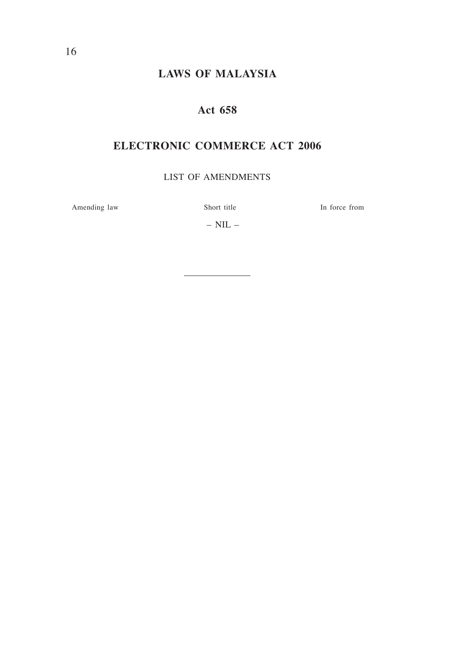# **laws of MALAYSIA**

# **Act 658**

# **electronic commerce act 2006**

list of amendments

Amending law Short title In force from

–  $NIL$  –